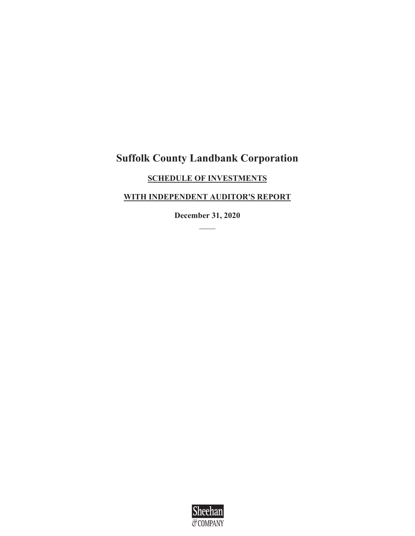### **SCHEDULE OF INVESTMENTS**

### **WITH INDEPENDENT AUDITOR'S REPORT**

**December 31, 2020** 

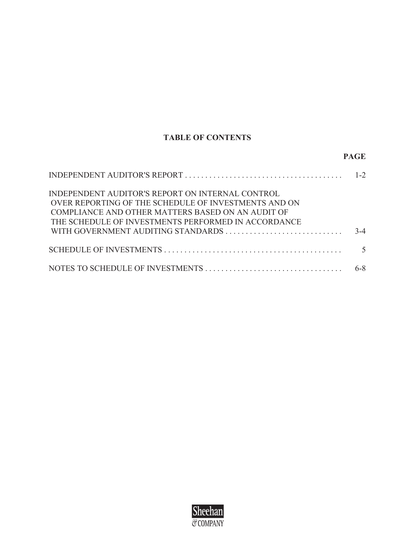#### **TABLE OF CONTENTS**

**PAGE** 

# INDEPENDENT AUDITOR'S REPORT . . . . . . . . . . . . . . . . . . . . . . . . . . . . . . . . . . . . . . . 1-2 INDEPENDENT AUDITOR'S REPORT ON INTERNAL CONTROL OVER REPORTING OF THE SCHEDULE OF INVESTMENTS AND ON COMPLIANCE AND OTHER MATTERS BASED ON AN AUDIT OF THE SCHEDULE OF INVESTMENTS PERFORMED IN ACCORDANCE WITH GOVERNMENT AUDITING STANDARDS . . . . . . . . . . . . . . . . . . . . . . . . . . . . . 3-4 SCHEDULE OF INVESTMENTS . . . . . . . . . . . . . . . . . . . . . . . . . . . . . . . . . . . . . . . . . . . . 5 NOTES TO SCHEDULE OF INVESTMENTS . . . . . . . . . . . . . . . . . . . . . . . . . . . . . . . . . . 6-8

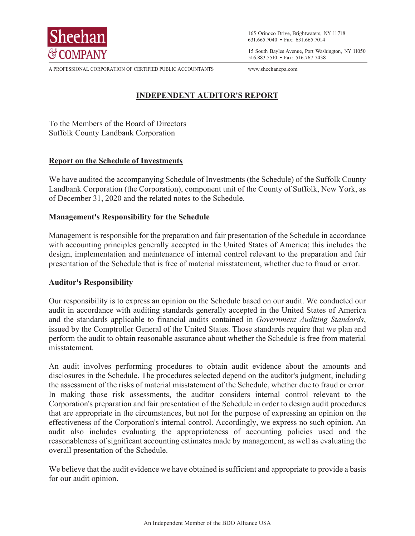

 $S$ **hee han**  $\sum_{631.665.7040}^{165 \text{ Orinoco Drive, Brightwaters, NY 11718}}$ 631.665.7040 • Fax: 631.665.7014

 $\mathbb{C}$  **COMPANY** 11050 516.883.5510 • Fax: 516.767.7438

A PROFESSIONAL CORPORATION OF CERTIFIED PUBLIC ACCOUNTANTS www.sheehancpa.com

### **INDEPENDENT AUDITOR'S REPORT**

To the Members of the Board of Directors Suffolk County Landbank Corporation

#### **Report on the Schedule of Investments**

We have audited the accompanying Schedule of Investments (the Schedule) of the Suffolk County Landbank Corporation (the Corporation), component unit of the County of Suffolk, New York, as of December 31, 2020 and the related notes to the Schedule.

#### **Management's Responsibility for the Schedule**

Management is responsible for the preparation and fair presentation of the Schedule in accordance with accounting principles generally accepted in the United States of America; this includes the design, implementation and maintenance of internal control relevant to the preparation and fair presentation of the Schedule that is free of material misstatement, whether due to fraud or error.

#### **Auditor's Responsibility**

Our responsibility is to express an opinion on the Schedule based on our audit. We conducted our audit in accordance with auditing standards generally accepted in the United States of America and the standards applicable to financial audits contained in *Government Auditing Standards*, issued by the Comptroller General of the United States. Those standards require that we plan and perform the audit to obtain reasonable assurance about whether the Schedule is free from material misstatement.

An audit involves performing procedures to obtain audit evidence about the amounts and disclosures in the Schedule. The procedures selected depend on the auditor's judgment, including the assessment of the risks of material misstatement of the Schedule, whether due to fraud or error. In making those risk assessments, the auditor considers internal control relevant to the Corporation's preparation and fair presentation of the Schedule in order to design audit procedures that are appropriate in the circumstances, but not for the purpose of expressing an opinion on the effectiveness of the Corporation's internal control. Accordingly, we express no such opinion. An audit also includes evaluating the appropriateness of accounting policies used and the reasonableness of significant accounting estimates made by management, as well as evaluating the overall presentation of the Schedule.

We believe that the audit evidence we have obtained is sufficient and appropriate to provide a basis for our audit opinion.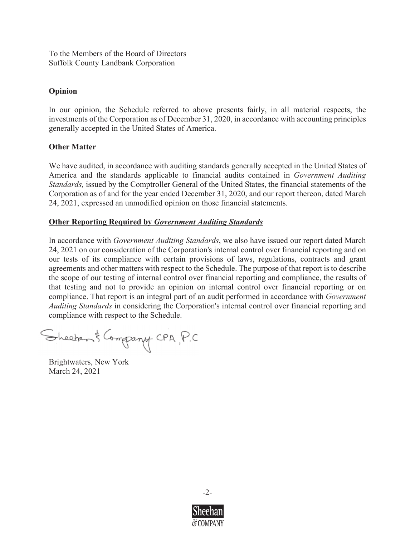To the Members of the Board of Directors Suffolk County Landbank Corporation

#### **Opinion**

In our opinion, the Schedule referred to above presents fairly, in all material respects, the investments of the Corporation as of December 31, 2020, in accordance with accounting principles generally accepted in the United States of America.

#### **Other Matter**

We have audited, in accordance with auditing standards generally accepted in the United States of America and the standards applicable to financial audits contained in *Government Auditing Standards,* issued by the Comptroller General of the United States, the financial statements of the Corporation as of and for the year ended December 31, 2020, and our report thereon, dated March 24, 2021, expressed an unmodified opinion on those financial statements.

#### **Other Reporting Required by** *Government Auditing Standards*

In accordance with *Government Auditing Standards*, we also have issued our report dated March 24, 2021 on our consideration of the Corporation's internal control over financial reporting and on our tests of its compliance with certain provisions of laws, regulations, contracts and grant agreements and other matters with respect to the Schedule. The purpose of that report is to describe the scope of our testing of internal control over financial reporting and compliance, the results of that testing and not to provide an opinion on internal control over financial reporting or on compliance. That report is an integral part of an audit performed in accordance with *Government Auditing Standards* in considering the Corporation's internal control over financial reporting and compliance with respect to the Schedule.

Sheehen & Company CPA, P.C

Brightwaters, New York March 24, 2021

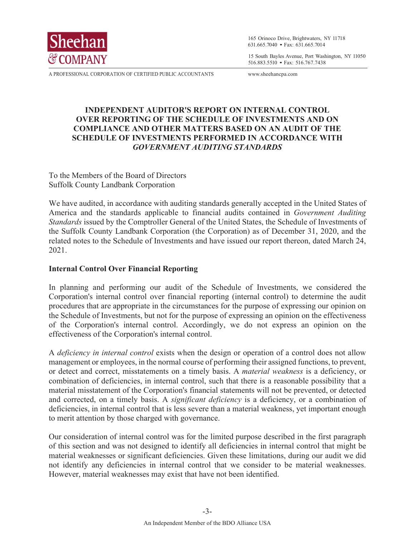

 165 Orinoco Drive, Brightwaters, NY 11718  $S$ hee han  $\frac{165 \text{ Orinoco Drive, Brightwaters, N}}{631.665.7040 \cdot \text{Fax: 631.665.7014}}$ 

 $\mathcal{C}_0$  COMPANY 11050 516.883.5510 • Fax: 516.767.7438

A PROFESSIONAL CORPORATION OF CERTIFIED PUBLIC ACCOUNTANTS www.sheehancpa.com

#### **INDEPENDENT AUDITOR'S REPORT ON INTERNAL CONTROL OVER REPORTING OF THE SCHEDULE OF INVESTMENTS AND ON COMPLIANCE AND OTHER MATTERS BASED ON AN AUDIT OF THE SCHEDULE OF INVESTMENTS PERFORMED IN ACCORDANCE WITH**  *GOVERNMENT AUDITING STANDARDS*

To the Members of the Board of Directors Suffolk County Landbank Corporation

We have audited, in accordance with auditing standards generally accepted in the United States of America and the standards applicable to financial audits contained in *Government Auditing Standards* issued by the Comptroller General of the United States, the Schedule of Investments of the Suffolk County Landbank Corporation (the Corporation) as of December 31, 2020, and the related notes to the Schedule of Investments and have issued our report thereon, dated March 24, 2021.

#### **Internal Control Over Financial Reporting**

In planning and performing our audit of the Schedule of Investments, we considered the Corporation's internal control over financial reporting (internal control) to determine the audit procedures that are appropriate in the circumstances for the purpose of expressing our opinion on the Schedule of Investments, but not for the purpose of expressing an opinion on the effectiveness of the Corporation's internal control. Accordingly, we do not express an opinion on the effectiveness of the Corporation's internal control.

A *deficiency in internal control* exists when the design or operation of a control does not allow management or employees, in the normal course of performing their assigned functions, to prevent, or detect and correct, misstatements on a timely basis. A *material weakness* is a deficiency, or combination of deficiencies, in internal control, such that there is a reasonable possibility that a material misstatement of the Corporation's financial statements will not be prevented, or detected and corrected, on a timely basis. A *significant deficiency* is a deficiency, or a combination of deficiencies, in internal control that is less severe than a material weakness, yet important enough to merit attention by those charged with governance.

Our consideration of internal control was for the limited purpose described in the first paragraph of this section and was not designed to identify all deficiencies in internal control that might be material weaknesses or significant deficiencies. Given these limitations, during our audit we did not identify any deficiencies in internal control that we consider to be material weaknesses. However, material weaknesses may exist that have not been identified.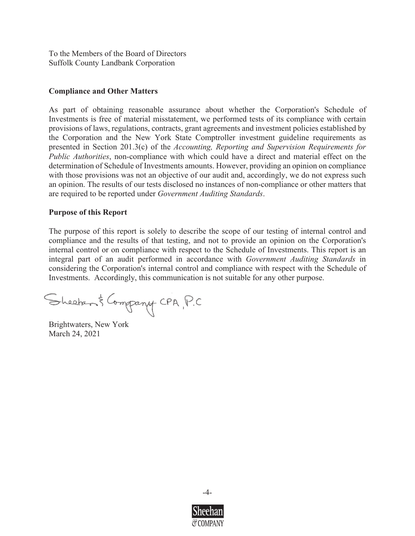To the Members of the Board of Directors Suffolk County Landbank Corporation

#### **Compliance and Other Matters**

As part of obtaining reasonable assurance about whether the Corporation's Schedule of Investments is free of material misstatement, we performed tests of its compliance with certain provisions of laws, regulations, contracts, grant agreements and investment policies established by the Corporation and the New York State Comptroller investment guideline requirements as presented in Section 201.3(c) of the *Accounting, Reporting and Supervision Requirements for Public Authorities*, non-compliance with which could have a direct and material effect on the determination of Schedule of Investments amounts. However, providing an opinion on compliance with those provisions was not an objective of our audit and, accordingly, we do not express such an opinion. The results of our tests disclosed no instances of non-compliance or other matters that are required to be reported under *Government Auditing Standards*.

#### **Purpose of this Report**

The purpose of this report is solely to describe the scope of our testing of internal control and compliance and the results of that testing, and not to provide an opinion on the Corporation's internal control or on compliance with respect to the Schedule of Investments. This report is an integral part of an audit performed in accordance with *Government Auditing Standards* in considering the Corporation's internal control and compliance with respect with the Schedule of Investments. Accordingly, this communication is not suitable for any other purpose.

Sheeher & Company CPA, P.C

Brightwaters, New York March 24, 2021

-4-

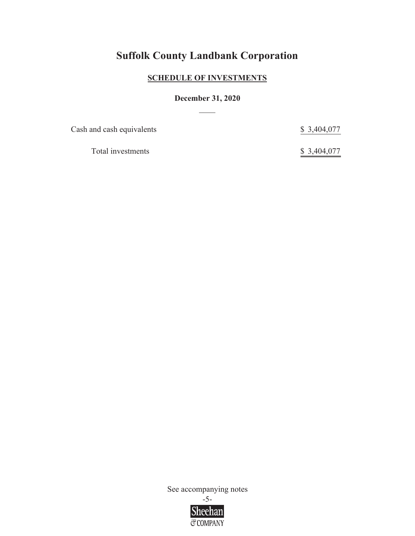### **SCHEDULE OF INVESTMENTS**

## **December 31, 2020**

| Cash and cash equivalents | \$ 3,404,077 |
|---------------------------|--------------|
| Total investments         | \$ 3,404,077 |

See accompanying notes  $-5-$ **Sheehan &COMPANY**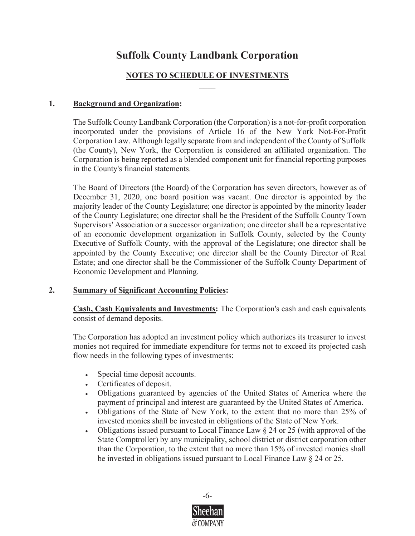### **NOTES TO SCHEDULE OF INVESTMENTS**

#### **1. Background and Organization:**

The Suffolk County Landbank Corporation (the Corporation) is a not-for-profit corporation incorporated under the provisions of Article 16 of the New York Not-For-Profit Corporation Law. Although legally separate from and independent of the County of Suffolk (the County), New York, the Corporation is considered an affiliated organization. The Corporation is being reported as a blended component unit for financial reporting purposes in the County's financial statements.

The Board of Directors (the Board) of the Corporation has seven directors, however as of December 31, 2020, one board position was vacant. One director is appointed by the majority leader of the County Legislature; one director is appointed by the minority leader of the County Legislature; one director shall be the President of the Suffolk County Town Supervisors' Association or a successor organization; one director shall be a representative of an economic development organization in Suffolk County, selected by the County Executive of Suffolk County, with the approval of the Legislature; one director shall be appointed by the County Executive; one director shall be the County Director of Real Estate; and one director shall be the Commissioner of the Suffolk County Department of Economic Development and Planning.

#### **2. Summary of Significant Accounting Policies:**

**Cash, Cash Equivalents and Investments:** The Corporation's cash and cash equivalents consist of demand deposits.

The Corporation has adopted an investment policy which authorizes its treasurer to invest monies not required for immediate expenditure for terms not to exceed its projected cash flow needs in the following types of investments:

- Special time deposit accounts.
- Certificates of deposit.
- <sup>x</sup> Obligations guaranteed by agencies of the United States of America where the payment of principal and interest are guaranteed by the United States of America.
- Obligations of the State of New York, to the extent that no more than 25% of invested monies shall be invested in obligations of the State of New York.
- Obligations issued pursuant to Local Finance Law  $\S 24$  or 25 (with approval of the State Comptroller) by any municipality, school district or district corporation other than the Corporation, to the extent that no more than 15% of invested monies shall be invested in obligations issued pursuant to Local Finance Law § 24 or 25.

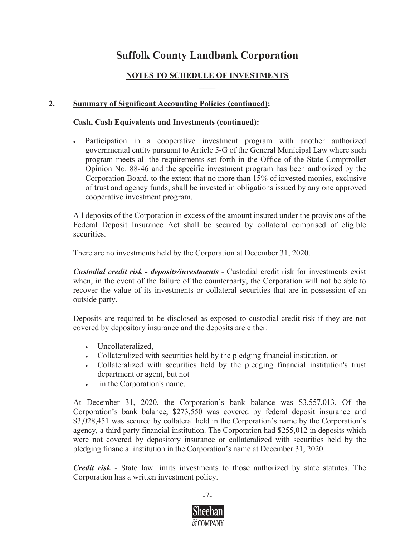## **NOTES TO SCHEDULE OF INVESTMENTS**

### **2. Summary of Significant Accounting Policies (continued):**

#### **Cash, Cash Equivalents and Investments (continued):**

• Participation in a cooperative investment program with another authorized governmental entity pursuant to Article 5-G of the General Municipal Law where such program meets all the requirements set forth in the Office of the State Comptroller Opinion No. 88-46 and the specific investment program has been authorized by the Corporation Board, to the extent that no more than 15% of invested monies, exclusive of trust and agency funds, shall be invested in obligations issued by any one approved cooperative investment program.

All deposits of the Corporation in excess of the amount insured under the provisions of the Federal Deposit Insurance Act shall be secured by collateral comprised of eligible securities.

There are no investments held by the Corporation at December 31, 2020.

*Custodial credit risk - deposits/investments* - Custodial credit risk for investments exist when, in the event of the failure of the counterparty, the Corporation will not be able to recover the value of its investments or collateral securities that are in possession of an outside party.

Deposits are required to be disclosed as exposed to custodial credit risk if they are not covered by depository insurance and the deposits are either:

- Uncollateralized.
- <sup>x</sup> Collateralized with securities held by the pledging financial institution, or
- <sup>x</sup> Collateralized with securities held by the pledging financial institution's trust department or agent, but not
- in the Corporation's name.

At December 31, 2020, the Corporation's bank balance was \$3,557,013. Of the Corporation's bank balance, \$273,550 was covered by federal deposit insurance and \$3,028,451 was secured by collateral held in the Corporation's name by the Corporation's agency, a third party financial institution. The Corporation had \$255,012 in deposits which were not covered by depository insurance or collateralized with securities held by the pledging financial institution in the Corporation's name at December 31, 2020.

*Credit risk* - State law limits investments to those authorized by state statutes. The Corporation has a written investment policy.